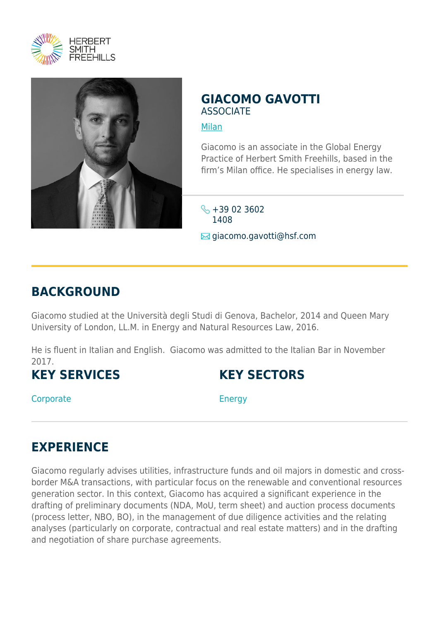



### **GIACOMO GAVOTTI ASSOCIATE**

#### [Milan](https://www.herbertsmithfreehills.com/where-we-work/milan)

Giacomo is an associate in the Global Energy Practice of Herbert Smith Freehills, based in the firm's Milan office. He specialises in energy law.

 $\frac{1}{2}$  +39 02 3602 1408 **⊠** giacomo.gavotti@hsf.com

### **BACKGROUND**

Giacomo studied at the Università degli Studi di Genova, Bachelor, 2014 and Queen Mary University of London, LL.M. in Energy and Natural Resources Law, 2016.

He is fluent in Italian and English. Giacomo was admitted to the Italian Bar in November 2017.

# **KEY SERVICES**

## **KEY SECTORS**

**Corporate** 

Energy

# **EXPERIENCE**

Giacomo regularly advises utilities, infrastructure funds and oil majors in domestic and crossborder M&A transactions, with particular focus on the renewable and conventional resources generation sector. In this context, Giacomo has acquired a significant experience in the drafting of preliminary documents (NDA, MoU, term sheet) and auction process documents (process letter, NBO, BO), in the management of due diligence activities and the relating analyses (particularly on corporate, contractual and real estate matters) and in the drafting and negotiation of share purchase agreements.